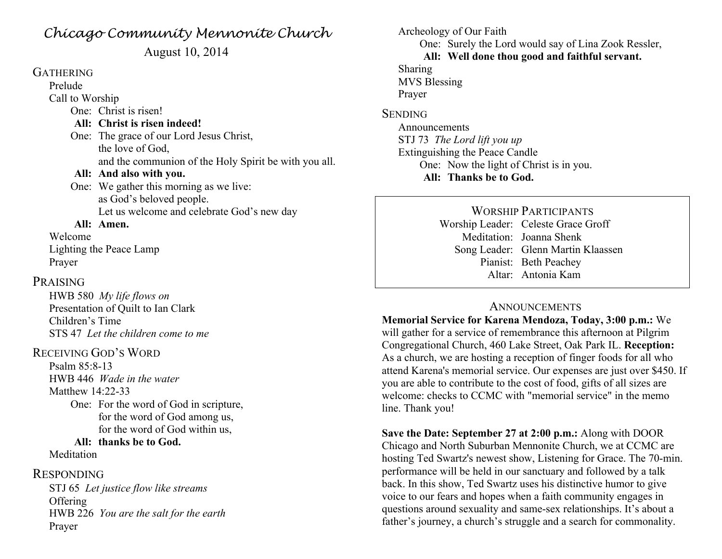## *Chicago Community Mennonite Church*

August 10, 2014

### GATHERING Prelude

Call to Worship One: Christ is risen!

#### **All: Christ is risen indeed!**

One: The grace of our Lord Jesus Christ, the love of God, and the communion of the Holy Spirit be with you all. **All: And also with you.**

One: We gather this morning as we live: as God's beloved people. Let us welcome and celebrate God's new day

#### **All: Amen.**

Welcome Lighting the Peace Lamp Prayer

#### PRAISING

HWB 580 *My life flows on* Presentation of Quilt to Ian Clark Children's Time STS 47 *Let the children come to me*

#### RECEIVING GOD'S WORD

Psalm 85:8-13 HWB 446 *Wade in the water* Matthew 14:22-33

> One: For the word of God in scripture, for the word of God among us, for the word of God within us,

#### **All: thanks be to God.**

**Meditation** 

#### RESPONDING

STJ 65 *Let justice flow like streams* **Offering** HWB 226 *You are the salt for the earth* Prayer

Archeology of Our Faith One: Surely the Lord would say of Lina Zook Ressler, **All: Well done thou good and faithful servant.** Sharing MVS Blessing Prayer **SENDING** 

Announcements STJ 73 *The Lord lift you up* Extinguishing the Peace Candle One: Now the light of Christ is in you. **All: Thanks be to God.**

> WORSHIP PARTICIPANTS Worship Leader: Celeste Grace Groff Meditation: Joanna Shenk Song Leader: Glenn Martin Klaassen Pianist: Beth Peachey Altar: Antonia Kam

#### ANNOUNCEMENTS

**Memorial Service for Karena Mendoza, Today, 3:00 p.m.:** We will gather for a service of remembrance this afternoon at Pilgrim Congregational Church, 460 Lake Street, Oak Park IL. **Reception:**  As a church, we are hosting a reception of finger foods for all who attend Karena's memorial service. Our expenses are just over \$450. If you are able to contribute to the cost of food, gifts of all sizes are welcome: checks to CCMC with "memorial service" in the memo line. Thank you!

**Save the Date: September 27 at 2:00 p.m.:** Along with DOOR Chicago and North Suburban Mennonite Church, we at CCMC are hosting Ted Swartz's newest show, Listening for Grace. The 70-min. performance will be held in our sanctuary and followed by a talk back. In this show, Ted Swartz uses his distinctive humor to give voice to our fears and hopes when a faith community engages in questions around sexuality and same-sex relationships. It's about a father's journey, a church's struggle and a search for commonality.